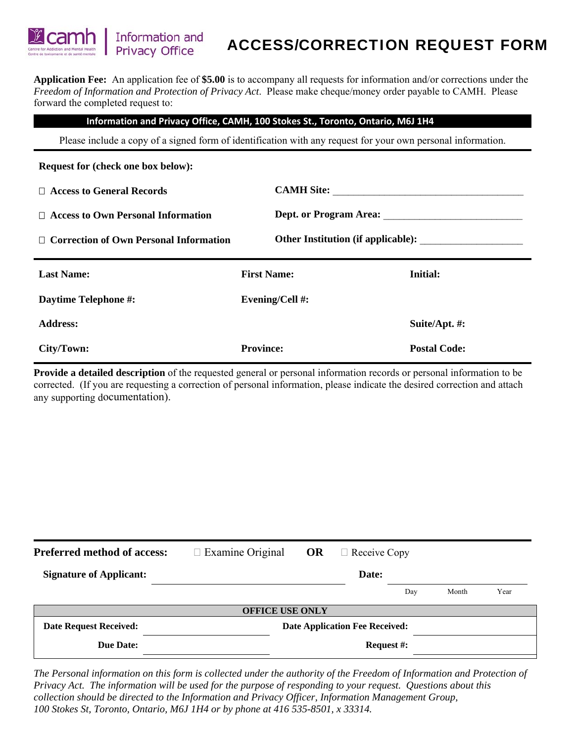**Application Fee:** An application fee of **\$5.00** is to accompany all requests for information and/or corrections under the *Freedom of Information and Protection of Privacy Act*. Please make cheque/money order payable to CAMH. Please forward the completed request to:

### **Information and Privacy Office, CAMH, 100 Stokes St., Toronto, Ontario, M6J 1H4**

Please include a copy of a signed form of identification with any request for your own personal information.

**Request for (check one box below):**  □ Access to General Records<br>
□ 2.000 Notes:
<u>
2.000 Notes:
2.000 Notes:
2.000 Notes:
2.000 Notes:
2.000 Notes:
2.000 Notes:
2.000 Notes:
2.000 Notes:
2.000 Notes:
2.000 Notes:
2.000 Notes:
2.000 Notes:
2.000 Notes:
2.000 </u> □ Access to Own Personal Information Dept. or Program Area: □ Correction of Own Personal Information Other Institution (if applicable): **Last Name: First Name: Initial: Daytime Telephone #:** Evening/Cell #: **Address: Suite/Apt. #: City/Town: Province: Postal Code:** 

**Provide a detailed description** of the requested general or personal information records or personal information to be corrected. (If you are requesting a correction of personal information, please indicate the desired correction and attach any supporting documentation).

| <b>Preferred method of access:</b> | $\Box$ Examine Original               | OR | $\Box$ Receive Copy |     |       |      |  |  |
|------------------------------------|---------------------------------------|----|---------------------|-----|-------|------|--|--|
| <b>Signature of Applicant:</b>     |                                       |    | Date:               |     |       |      |  |  |
|                                    |                                       |    |                     | Day | Month | Year |  |  |
| <b>OFFICE USE ONLY</b>             |                                       |    |                     |     |       |      |  |  |
| <b>Date Request Received:</b>      | <b>Date Application Fee Received:</b> |    |                     |     |       |      |  |  |
| <b>Due Date:</b>                   |                                       |    | <b>Request #:</b>   |     |       |      |  |  |

*The Personal information on this form is collected under the authority of the Freedom of Information and Protection of Privacy Act. The information will be used for the purpose of responding to your request. Questions about this collection should be directed to the Information and Privacy Officer, Information Management Group, 100 Stokes St, Toronto, Ontario, M6J 1H4 or by phone at 416 535-8501, x 33314.*